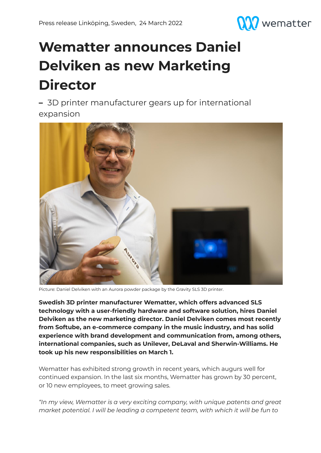

## **Wematter announces Daniel Delviken as new Marketing Director**

**–** 3D printer manufacturer gears up for international expansion



Picture: Daniel Delviken with an Aurora powder package by the Gravity SLS 3D printer.

**Swedish 3D printer manufacturer Wematter, which offers advanced SLS technology with a user-friendly hardware and software solution, hires Daniel Delviken as the new marketing director. Daniel Delviken comes most recently from Softube, an e-commerce company in the music industry, and has solid experience with brand development and communication from, among others, international companies, such as Unilever, DeLaval and Sherwin-Williams. He took up his new responsibilities on March 1.**

Wematter has exhibited strong growth in recent years, which augurs well for continued expansion. In the last six months, Wematter has grown by 30 percent, or 10 new employees, to meet growing sales.

*"In my view, Wematter is a very exciting company, with unique patents and great market potential. I will be leading a competent team, with which it will be fun to*